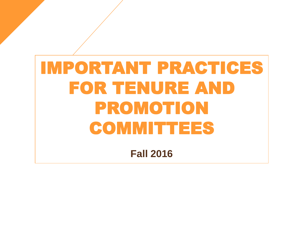# IMPORTANT PRACTICES FOR TENURE AND PROMOTION COMMITTEES **Fall 2016**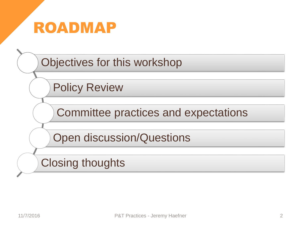

Objectives for this workshop

Policy Review

Committee practices and expectations

Open discussion/Questions

Closing thoughts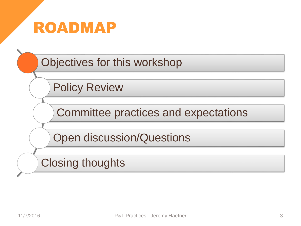| <b>ROADMAP</b>                              |
|---------------------------------------------|
| Objectives for this workshop                |
| <b>Policy Review</b>                        |
| <b>Committee practices and expectations</b> |
| <b>Open discussion/Questions</b>            |
| <b>Closing thoughts</b>                     |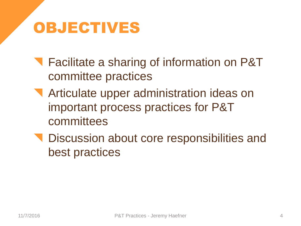### OBJECTIVES

- **T** Facilitate a sharing of information on P&T committee practices
- Articulate upper administration ideas on important process practices for P&T committees
- **N** Discussion about core responsibilities and best practices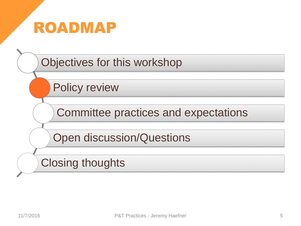

Objectives for this workshop

Policy review

Committee practices and expectations

Open discussion/Questions

Closing thoughts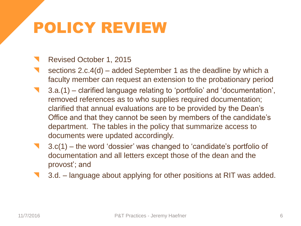## POLICY REVIEW

- Revised October 1, 2015
- sections 2.c.4(d) added September 1 as the deadline by which a faculty member can request an extension to the probationary period
- 3.a.(1) clarified language relating to 'portfolio' and 'documentation', removed references as to who supplies required documentation; clarified that annual evaluations are to be provided by the Dean's Office and that they cannot be seen by members of the candidate's department. The tables in the policy that summarize access to documents were updated accordingly.
- 3.c(1) the word 'dossier' was changed to 'candidate's portfolio of documentation and all letters except those of the dean and the provost'; and
- 3.d. language about applying for other positions at RIT was added.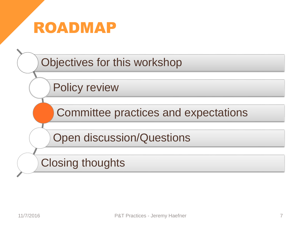

Objectives for this workshop

Policy review

Committee practices and expectations

Open discussion/Questions

Closing thoughts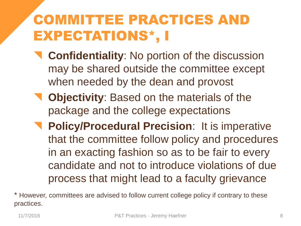### COMMITTEE PRACTICES AND EXPECTATIONS\*, I

- **Confidentiality**: No portion of the discussion may be shared outside the committee except when needed by the dean and provost
- **Objectivity**: Based on the materials of the package and the college expectations
- **Policy/Procedural Precision**: It is imperative that the committee follow policy and procedures in an exacting fashion so as to be fair to every candidate and not to introduce violations of due process that might lead to a faculty grievance

\* However, committees are advised to follow current college policy if contrary to these practices.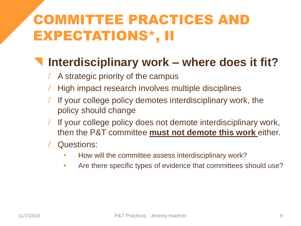### COMMITTEE PRACTICES AND EXPECTATIONS\*, II

### **Interdisciplinary work – where does it fit?**

- A strategic priority of the campus
- High impact research involves multiple disciplines
- If your college policy demotes interdisciplinary work, the policy should change
- If your college policy does not demote interdisciplinary work, then the P&T committee **must not demote this work** either.
- Questions:
	- How will the committee assess interdisciplinary work?
	- **EXECT** Are there specific types of evidence that committees should use?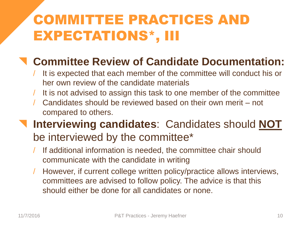### COMMITTEE PRACTICES AND EXPECTATIONS\*, III

### **Committee Review of Candidate Documentation:**

- It is expected that each member of the committee will conduct his or her own review of the candidate materials
- It is not advised to assign this task to one member of the committee
- Candidates should be reviewed based on their own merit not compared to others.
- **Interviewing candidates**: Candidates should **NOT** be interviewed by the committee\*
	- If additional information is needed, the committee chair should communicate with the candidate in writing
	- / However, if current college written policy/practice allows interviews, committees are advised to follow policy. The advice is that this should either be done for all candidates or none.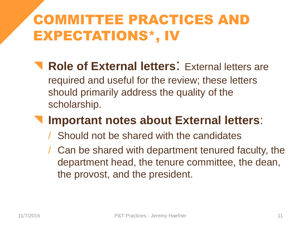### COMMITTEE PRACTICES AND EXPECTATIONS\*, IV

 **Role of External letters**: External letters are required and useful for the review; these letters should primarily address the quality of the scholarship.

### **Important notes about External letters**:

- / Should not be shared with the candidates
- / Can be shared with department tenured faculty, the department head, the tenure committee, the dean, the provost, and the president.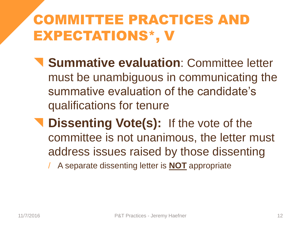### COMMITTEE PRACTICES AND EXPECTATIONS\*, V

- **Summative evaluation**: Committee letter must be unambiguous in communicating the summative evaluation of the candidate's qualifications for tenure
- **T** Dissenting Vote(s): If the vote of the committee is not unanimous, the letter must address issues raised by those dissenting

/ A separate dissenting letter is **NOT** appropriate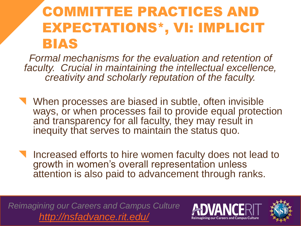### COMMITTEE PRACTICES AND EXPECTATIONS\*, VI: IMPLICIT BIAS

*Formal mechanisms for the evaluation and retention of faculty. Crucial in maintaining the intellectual excellence, creativity and scholarly reputation of the faculty.*

- When processes are biased in subtle, often invisible ways, or when processes fail to provide equal protection and transparency for all faculty, they may result in inequity that serves to maintain the status quo.
- Increased efforts to hire women faculty does not lead to growth in women's overall representation unless attention is also paid to advancement through ranks.

*Reimagining our Careers and Campus Culture <http://nsfadvance.rit.edu/>*



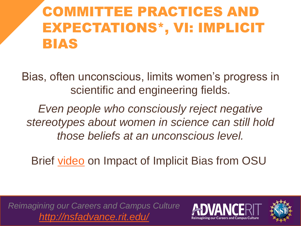### COMMITTEE PRACTICES AND EXPECTATIONS\*, VI: IMPLICIT BIAS

Bias, often unconscious, limits women's progress in scientific and engineering fields.

*Even people who consciously reject negative stereotypes about women in science can still hold those beliefs at an unconscious level.* 

Brief [video](http://www.youtube.com/watch?v=UZHxFU7TYo4&feature=plcp) on Impact of Implicit Bias from OSU

*Reimagining our Careers and Campus Culture <http://nsfadvance.rit.edu/>*



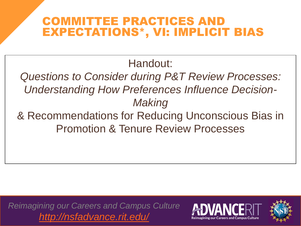### COMMITTEE PRACTICES AND EXPECTATIONS\*, VI: IMPLICIT BIAS

Handout:

*Questions to Consider during P&T Review Processes: Understanding How Preferences Influence Decision-Making* 

& Recommendations for Reducing Unconscious Bias in Promotion & Tenure Review Processes

*Reimagining our Careers and Campus Culture <http://nsfadvance.rit.edu/>*



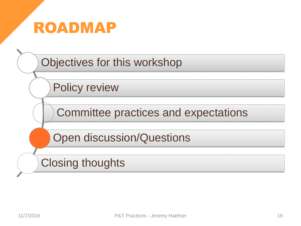

Objectives for this workshop

Policy review

Committee practices and expectations

Open discussion/Questions

Closing thoughts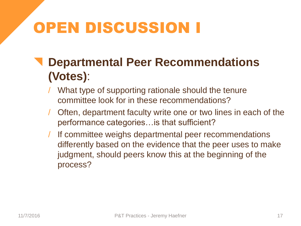## OPEN DISCUSSION I

### **Departmental Peer Recommendations (Votes)**:

- / What type of supporting rationale should the tenure committee look for in these recommendations?
- / Often, department faculty write one or two lines in each of the performance categories…is that sufficient?
- If committee weighs departmental peer recommendations differently based on the evidence that the peer uses to make judgment, should peers know this at the beginning of the process?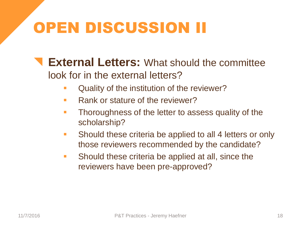## OPEN DISCUSSION II

 **External Letters:** What should the committee look for in the external letters?

- Quality of the institution of the reviewer?
- **Rank or stature of the reviewer?**
- **Thoroughness of the letter to assess quality of the** scholarship?
- **Should these criteria be applied to all 4 letters or only** those reviewers recommended by the candidate?
- **Should these criteria be applied at all, since the** reviewers have been pre-approved?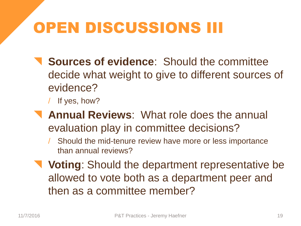## OPEN DISCUSSIONS III

 **Sources of evidence**: Should the committee decide what weight to give to different sources of evidence?

If yes, how?

- **Annual Reviews**: What role does the annual evaluation play in committee decisions?
	- Should the mid-tenure review have more or less importance than annual reviews?
- **Voting**: Should the department representative be allowed to vote both as a department peer and then as a committee member?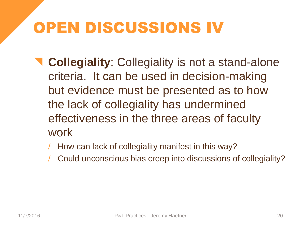## OPEN DISCUSSIONS IV

- **Collegiality**: Collegiality is not a stand-alone criteria. It can be used in decision-making but evidence must be presented as to how the lack of collegiality has undermined effectiveness in the three areas of faculty work
	- / How can lack of collegiality manifest in this way?
	- / Could unconscious bias creep into discussions of collegiality?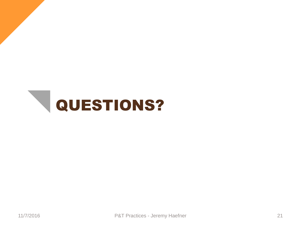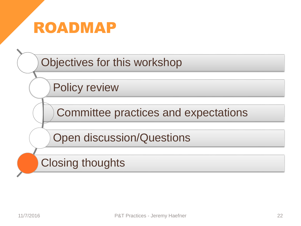

Objectives for this workshop

Policy review

Committee practices and expectations

Open discussion/Questions

Closing thoughts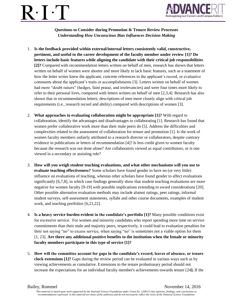# $\sum_{i=1}^{n}$



**Questions to Consider during Promotion & Tenure Review Processes** *Understanding How Unconscious Bias Influences Decision Making* 

- 1. **Is the feedback provided within external/internal letters consistently valid, constructive, pertinent, and useful to the career development of the faculty member under review [1]? Do letters include basic features while aligning the candidate with their critical job responsibilities [2]?** Compared with recommendation letters written on behalf of men, research has shown that letters written on behalf of women were shorter and more likely to lack basic features, such as a statement of how the letter writer knew the applicant, concrete references to the applicant's record, or evaluative comments about the applicant's traits or accomplishments [3]. Letters written on behalf of women had more "doubt raisers" (hedges, faint praise, and irrelevancies) and were four times more likely to refer to their personal lives, compared with letters written on behalf of men [2,3,4]. Research has also shown that in recommendation letters, descriptions of men more closely align with critical job requirements (i.e., research record and ability) compared with descriptions of women [3].
- 2. **What approaches to evaluating collaboration might be appropriate [1]?** With regard to collaboration, identify the advantages and disadvantages to collaborating [1]. Research has found that women prefer collaborative work more than their male peers do [5]. Address the difficulties and complexities related to the assessment of collaboration for tenure and promotion [1]. Is the work of women faculty members unfairly attributed to a research director or collaborators, despite contrary evidence in publications or letters of recommendation [4]? Is less credit given to women faculty because the research was not done alone? Are collaborators viewed as equal contributors, or is one viewed in a secondary or assisting role?
- 3. **How will you weigh student teaching evaluations, and what other mechanisms will you use to evaluate teaching effectiveness?** Some scholars have found gender to have no (or very little) influence on evaluations of teaching, whereas other scholars have found gender to affect evaluations significantly [6,7,8], in which case findings generally show that student teaching evaluations are more negative for women faculty [9-19] with possible implications extending to award considerations [20]. Other possible alternative evaluation methods may include alumni ratings, peer ratings, informal student surveys, self-assessment statements, syllabi and other course documents, examples of student work, and teaching portfolios [6,21,22].
- 4. **Is a heavy service burden evident in the candidate's portfolio [1]?** Many possible conditions exist for excessive service. For women and minority candidates who report spending more time on service commitments than their male and majority peers, respectively, it could lead to evaluation penalties for their not saying "no" to excess service, when saying "no" is sometimes not a viable option for them [1, 23]. **Are there any additional positive benefits to the institution when the female or minority faculty members participate in this type of service [1]?**
- 5. **How will the committee account for gaps in the candidate's record, leaves of absence, or tenure clock extensions [1]?** Gaps during the review period can be evaluated in various ways such as by viewing achievements as cumulative. Extensions to the tenure probationary period should not increase the expectations for an individual faculty member's achievements towards tenure [24**].** If the

#### Bailey, Rommel November 14, 2016

*This material is based upon work supported by the National Science Foundation under Grant No. 1209115.Any opinions, findings, and conclusions or recommendations expressed in this material are those of the author(s) and do not necessarily reflect the views of the National Science Foundation.*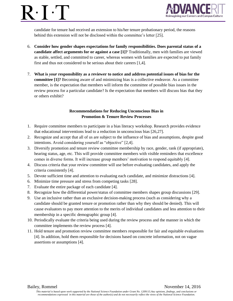# $\cdot$  [  $\cdot$  ]



candidate for tenure had received an extension to his/her tenure probationary period, the reasons behind this extension will not be disclosed within the committee's letter [25].

- 6. **Consider how gender shapes expectations for family responsibilities. Does parental status of a candidate affect arguments for or against a case [1]?** Traditionally, men with families are viewed as stable, settled, and committed to career, whereas women with families are expected to put family first and thus not considered to be serious about their careers [1,4]*.*
- 7. **What is** *your* **responsibility as a reviewer to notice and address potential issues of bias for the committee [1]?** Becoming aware of and minimizing bias is a collective endeavor. As a committee member, is the expectation that members will inform the committee of possible bias issues in the review process for a particular candidate? Is the expectation that members will discuss bias that they or others exhibit?

#### **Recommendations for Reducing Unconscious Bias in Promotion & Tenure Review Processes**

- 1. Require committee members to participate in a bias literacy workshop. Research provides evidence that educational interventions lead to a reduction in unconscious bias [26,27].
- 2. Recognize and accept that all of us are subject to the influence of bias and assumptions, despite good intentions. Avoid considering yourself as "objective" [2,4].
- 3. Diversify promotion and tenure review committee membership by race, gender, rank (if appropriate), hearing status, age, etc. This will provide committee members with visible reminders that excellence comes in diverse forms. It will increase group members' motivation to respond equitably [4].
- 4. Discuss criteria that your review committee will use before evaluating candidates, and apply the criteria consistently [4].
- 5. Devote sufficient time and attention to evaluating each candidate, and minimize distractions [4].
- 6. Minimize time pressure and stress from competing tasks [28].
- 7. Evaluate the entire package of each candidate [4].
- 8. Recognize how the differential power/status of committee members shapes group discussions [29].
- 9. Use an inclusive rather than an exclusive decision-making process (such as considering why a candidate should be granted tenure or promotion rather than why they should be denied). This will cause evaluators to pay more attention to the merits of individual candidates and less attention to their membership in a specific demographic group [4].
- 10. Periodically evaluate the criteria being used during the review process and the manner in which the committee implements the review process [4].
- 11. Hold tenure and promotion review committee members responsible for fair and equitable evaluations [4]. In addition, hold them responsible for decisions based on concrete information, not on vague assertions or assumptions [4].

#### Bailey, Rommel November 14, 2016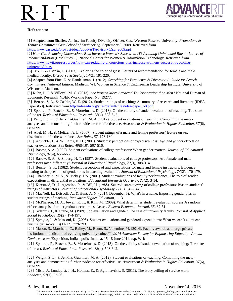# $\cdot$   $\cdot$   $\Gamma$



#### **References:**

[1] Adapted from Shaffer, A., Interim Faculty Diversity Officer, Case Western Reserve University. *Promotions & Tenure Committee: Case School of Engineering*. September 8, 2009. Retrieved from [http://www.case.edu/provost/ideal/doc/P&TAdvisoryCSE\\_2009.ppt](http://www.case.edu/provost/ideal/doc/P&TAdvisoryCSE_2009.ppt)

[2] *How Can Reducing Unconscious Bias Increase Women's Success in IT? Avoiding Unintended Bias in Letters of Recommendation* (Case Study 1), National Center for Women & Information Technology. Retrieved from [http://www.ncwit.org/resources/how-can-reducing-unconscious-bias-increase-womens-success-it-avoiding](http://www.ncwit.org/resources/how-can-reducing-unconscious-bias-increase-womens-success-it-avoiding-unintended-bias)[unintended-bias](http://www.ncwit.org/resources/how-can-reducing-unconscious-bias-increase-womens-success-it-avoiding-unintended-bias)

[3] Trix, F. & Psenka, C. (2003). Exploring the color of glass: Letters of recommendation for female and male medical faculty. *Discourse & Society, 14(2),* 191-220.

[4] Adapted from Fine, E. & Handelsman, J. (2012). *Searching for Excellence & Diversity: A Guide for Search Committees: National Edition.* Madison, WI: Women in Science & Engineering Leadership Institute, University of Wisconsin-Madison.

[5] Kuhn, P. J. & Villeval, M. C. (2013). *Are Women More Attracted To Cooperation than Men?* National Bureau of Economic Research. NBER Working Paper No. 19277.

[6] Benton, S. L., & Cashin, W. E. (2012). Student ratings of teaching: A summary of research and literature (IDEA Paper #50). Retrieved from [http://ideaedu.org/sites/default/files/idea-paper\\_50.pdf.](http://ideaedu.org/sites/default/files/idea-paper_50.pdf)

[7] Spooren, P., Brockx, B., & Mortelmans, D. (2013). On the validity of student evaluation of teaching: The state of the art. *Review of Educational Research, 83*(4), 598-642.

[8] Wright, S. L., & Jenkins-Guarnieri, M. A. (2012). Student evaluations of teaching: Combining the metaanalyses and demonstrating further evidence for effective use. *Assessment & Evaluation in Higher Education, 37*(6), 683-699.

[9] Abel, M. H., & Meltzer, A. L. (2007). Student ratings of a male and female professors' lecture on sex discrimination in the workforce. *Sex Roles, 57,* 173-180.

[10] Arbuckle, J., & Williams, B. D. (2003). Students' perceptions of expressiveness: Age and gender effects on teacher evaluations. *Sex Roles, 49*(9/10), 507-516.

[11] Basow, S. A. (1995). Student evaluations of college professors: When gender matters. *Journal of Educational Psychology, 87*(4), 656-665.

[12] Basow, S. A., & Silberg, N. T. (1987). Student evaluations of college professors: Are female and male professors rated differently? *Journal of Educational Psychology, 79*(3), 308-314.

[13] Bennett, S. K. (1982). Student perceptions of and expectations for male and female instructors: Evidence relating to the question of gender bias in teaching evaluation. *Journal of Educational Psychology, 74*(2), 170-179.

[14] Chamberlin, M. S., & Hickey, J. S. (2001). Student evaluations of faculty performance: The role of gender expectations in differential evaluations. *Educational Research Quarterly, 25*(2), 3-14.

[15] Kierstead, D., D'Agostino, P., & Dill, H. (1988). Sex role stereotyping of college professors: Bias in students' ratings of instructors. *Journal of Educational Psychology, 80*(3), 342-344.

[16] MacNell, L., Driscoll, A., & Hunt, A. N. (2014, December 5). What's in a name: Exposing gender bias in student ratings of teaching. *Innovative Higher Education,* 1-13.

[17] McPherson, M. A., Jewell, R. T., & Kim, M. (2009). What determines student evaluation scores? A random effects analysis of undergraduate economics classes. *Eastern Economic Journal, 35*, 37-51.

[18] Sidanius, J., & Crane, M. (1989). Job evaluation and gender: The case of university faculty. *Journal of Applied Social Psychology, 19*(2), 174-197.

[19] Sprague, J., & Massoni, K. (2005). Student evaluations and gendered expectations: What we can't count can hurt us. *Sex Roles, 53*(11/12), 779-793.

[20] Mason, S., Marchetti, C., Bailey, M., Baum, S., Valentine, M. (2014). Faculty awards at a large private institution: an indicator of evolving university values?" *2014 American Society for Engineering Education Annual Conference and*Exposition, Indianapolis, Indiana. 15-18 June 2014. n.p. Web

[21] Spooren, P., Brockx, B., & Mortelmans, D. (2013). On the validity of student evaluation of teaching: The state

of the art. *Review of Educational Research, 83*(4), 598-642.

[22] Wright, S. L., & Jenkins-Guarnieri, M. A. (2012). Student evaluations of teaching: Combining the metaanalyses and demonstrating further evidence for effective use. *Assessment & Evaluation in Higher Education, 37*(6), 683-699.

[23] Misra, J., Lundquist, J. H., Holmes, E., & Agiomavritis, S. (2011). The ivory ceiling of service work. *Academe*, *97*(1), 22-26.

#### Bailey, Rommel November 14, 2016

*This material is based upon work supported by the National Science Foundation under Grant No. 1209115.Any opinions, findings, and conclusions or recommendations expressed in this material are those of the author(s) and do not necessarily reflect the views of the National Science Foundation.*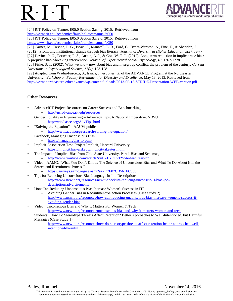# $\cdot$  [ $\cdot$  ]<sup>-</sup>



[24] RIT Policy on Tenure, E05.0 Section 2.c.4.g, 2015. Retrieved from <http://www.rit.edu/academicaffairs/policiesmanual/e050>

[25] RIT Policy on Tenure, E05.0 Section 3.c.2.d, 2015. Retrieved from

<http://www.rit.edu/academicaffairs/policiesmanual/e050>

[26] Carnes, M., Devine, P. G., Isaac, C., Manwell, L. B., Ford, C., Byars-Winston, A., Fine, E., & Sheridan, J.

(2012). Promoting institutional change through bias literacy. *Journal of Diversity in Higher Education, 5(2),* 63-77.

[27] Devine, P. G., Forscher, P. S., Austin, A. J., & Cox, W. T. L. (2012). Long-term reduction in implicit race bias: A prejudice habit-breaking intervention. *Journal of Experimental Social Psychology*, *48,* 1267-1278.

[28] Fiske, S. T. (2002). What we know now about bias and intergroup conflict, the problem of the century. *Current Directions in Psychological Science, 11(4)*, 123-128.

[29] Adapted from Wadia-Fascetti, S., Isaacs, J., & Jones, G. of the ADVANCE Program at the Northeastern University. *Workshop on Faculty Recruitment for Diversity and Excellence*. May 13, 2013. Retrieved from <http://www.northeastern.edu/advance/wp-content/uploads/2013-05-13-STRIDE-Presentation-WEB-version.pdf>

#### **Other Resources:**

- AdvanceRIT Project Resources on Career Success and Benchmarking – <http://nsfadvance.rit.edu/resources>
- Gender Equality in Engineering Advocacy Tips, A National Imperative, NDSU – <http://wied.asee.org/AdvTips.html>
- "Solving the Equation" AAUW publication
	- <http://www.aauw.org/research/solving-the-equation/>
- Facebook, Managing Unconscious Bias
	- <https://managingbias.fb.com/>
- Implicit Association Test, Project Implicit, Harvard University – <https://implicit.harvard.edu/implicit/takeatest.html>
	- The Impact of Implicit Bias from Ohio State University, Part 1 Bias and Schemas,
	- <http://www.youtube.com/watch?v=UZHxFU7TYo4&feature=plcp>
- Video: AAMC, "What You Don't Know: The Science of Unconscious Bias and What To Do About It in the Search and Recruitment Process"
	- <https://surveys.aamc.org/se.ashx?s=7C7E87CB561EC358>
- Tips for Reducing Unconscious Bias Language in Job Descriptions
	- [http://www.ncwit.org/resources/ncwit-checklist-reducing-unconscious-bias-job](http://www.ncwit.org/resources/ncwit-checklist-reducing-unconscious-bias-job-descriptionsadvertisements)[descriptionsadvertisements](http://www.ncwit.org/resources/ncwit-checklist-reducing-unconscious-bias-job-descriptionsadvertisements)
- How Can Reducing Unconscious Bias Increase Women's Success in IT?
	- Avoiding Gender Bias in Recruitment/Selection Processes (Case Study 2): [http://www.ncwit.org/resources/how-can-reducing-unconscious-bias-increase-womens-success-it](http://www.ncwit.org/resources/how-can-reducing-unconscious-bias-increase-womens-success-it-avoiding-gender-bias)[avoiding-gender-bias](http://www.ncwit.org/resources/how-can-reducing-unconscious-bias-increase-womens-success-it-avoiding-gender-bias)
- Video: Unconscious Bias and Why It Matters For Women & Tech
	- <http://www.ncwit.org/resources/unconscious-bias-and-why-it-matters-women-and-tech>
- Students: How Do Stereotype Threats Affect Retention? Better Approaches to Well-Intentioned, but Harmful Messages (Case Study 1)
	- [http://www.ncwit.org/resources/how-do-stereotype-threats-affect-retention-better-approaches-well](http://www.ncwit.org/resources/how-do-stereotype-threats-affect-retention-better-approaches-well-intentioned-harmful)[intentioned-harmful](http://www.ncwit.org/resources/how-do-stereotype-threats-affect-retention-better-approaches-well-intentioned-harmful)

#### Bailey, Rommel November 14, 2016

*This material is based upon work supported by the National Science Foundation under Grant No. 1209115.Any opinions, findings, and conclusions or recommendations expressed in this material are those of the author(s) and do not necessarily reflect the views of the National Science Foundation.*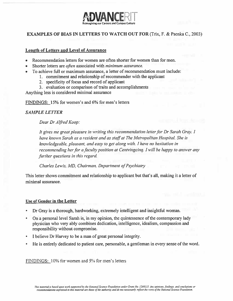

#### **EXAMPLES OF BIAS IN LETTERS TO WATCH OUT FOR (Trix, F. & Psenka C., 2003)**

#### **Length of Letters and Level of Assurance**

- Recommendation letters for women are often shorter for women than for men.
- Shorter letters are often associated with minimum assurance.
- To achieve full or maximum assurance, a letter of recommendation must include:
	- 1. commitment and relationship of recommender with the applicant
	- 2. specificity of focus and record of applicant
	- 3. evaluation or comparison of traits and accomplishments

Anything less is considered minimal assurance

FINDINGS: 15% for women's and 6% for men's letters

#### **SAMPLE LETTER**

Dear Dr Alfred Koop:

It gives me great pleasure in writing this recommendation letter for Dr Sarah Gray. I have known Sarah as a resident and as staff at The Metropolitan Hospital. She is knowledgeable, pleasant, and easy to get along with. I have no hesitation in recommending her for a faculty position at Centvingcing. I will be happy to answer any further questions in this regard.

Charles Lewis, MD, Chairman, Department of Psychiatry

This letter shows commitment and relationship to applicant but that's all, making it a letter of minimal assurance.

#### Use of Gender in the Letter

- Dr Gray is a thorough, hardworking, extremely intelligent and insightful woman.
- On a personal level Sarah is, in my opinion, the quintessence of the contemporary lady physician who very ably combines dedication, intelligence, idealism, compassion and responsibility without compromise.
- I believe Dr Harvey to be a man of great personal integrity.
- He is entirely dedicated to patient care, personable, a gentleman in every sense of the word.

FINDINGS: 10% for women and 5% for men's letters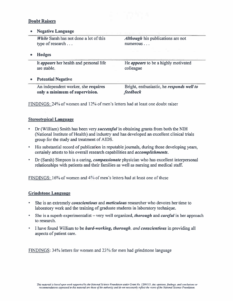#### **Doubt Raisers**

#### **Negative Language**

| <b>While</b> Sarah has not done a lot of this<br>type of research     | <i>Although</i> his publications are not<br>numerous    |
|-----------------------------------------------------------------------|---------------------------------------------------------|
| <b>Hedges</b>                                                         | the company of the company of the                       |
| It <i>appears</i> her health and personal life<br>are stable.         | He <i>appears</i> to be a highly motivated<br>colleague |
| <b>Potential Negative</b>                                             |                                                         |
| An independent worker, she requires<br>only a minimum of supervision. | Bright, enthusiastic, he responds well to<br>feedback   |
|                                                                       |                                                         |

FINDINGS: 24% of women and 12% of men's letters had at least one doubt raiser

#### **Stereotypical Language**

- Dr (William) Smith has been very *successful* in obtaining grants from both the NIH  $\bullet$ (National Institute of Health) and industry and has developed an excellent clinical trials group for the study and treatment of AIDS.
- His substantial record of publication in reputable journals, during those developing years, certainly attests to his overall research capabilities and *accomplishments*.
- Dr (Sarah) Simpson is a caring, *compassionate* physician who has excellent interpersonal  $\bullet$ relationships with patients and their families as well as nursing and medical staff.

FINDINGS: 16% of women and 4% of men's letters had at least one of these

#### **Grindstone Language**

- She is an extremely *conscientious* and *meticulous* researcher who devotes her time to laboratory work and the training of graduate students in laboratory technique.
- She is a superb experimentalist very well organized, *thorough* and *careful* in her approach to research.
- I have found William to be *hard-working, thorough, and conscientious* in providing all aspects of patient care.

FINDINGS: 34% letters for women and 23% for men had grindstone language